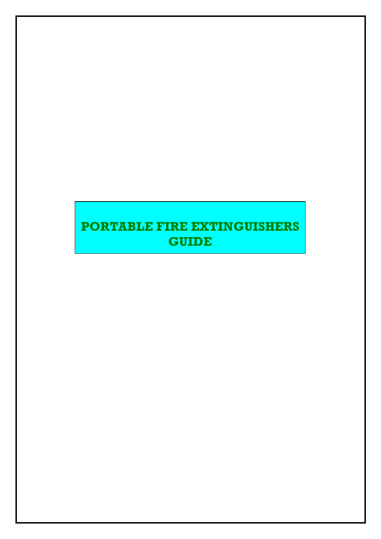# PORTABLE FIRE EXTINGUISHERS **GUIDE**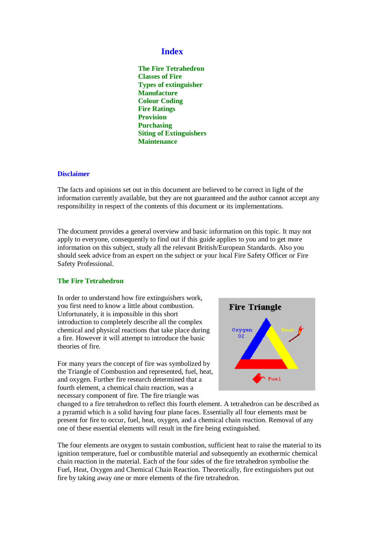# **Index**

**The Fire Tetrahedron Classes of Fire Types of extinguisher Manufacture Colour Coding Fire Ratings Provision Purchasing Siting of Extinguishers Maintenance** 

### **Disclaimer**

The facts and opinions set out in this document are believed to be correct in light of the information currently available, but they are not guaranteed and the author cannot accept any responsibility in respect of the contents of this document or its implementations.

The document provides a general overview and basic information on this topic. It may not apply to everyone, consequently to find out if this guide applies to you and to get more information on this subject, study all the relevant British/European Standards. Also you should seek advice from an expert on the subject or your local Fire Safety Officer or Fire Safety Professional.

#### **The Fire Tetrahedron**

In order to understand how fire extinguishers work, you first need to know a little about combustion. Unfortunately, it is impossible in this short introduction to completely describe all the complex chemical and physical reactions that take place during a fire. However it will attempt to introduce the basic theories of fire.

For many years the concept of fire was symbolized by the Triangle of Combustion and represented, fuel, heat, and oxygen. Further fire research determined that a fourth element, a chemical chain reaction, was a necessary component of fire. The fire triangle was



changed to a fire tetrahedron to reflect this fourth element. A tetrahedron can be described as a pyramid which is a solid having four plane faces. Essentially all four elements must be present for fire to occur, fuel, heat, oxygen, and a chemical chain reaction. Removal of any one of these essential elements will result in the fire being extinguished.

The four elements are oxygen to sustain combustion, sufficient heat to raise the material to its ignition temperature, fuel or combustible material and subsequently an exothermic chemical chain reaction in the material. Each of the four sides of the fire tetrahedron symbolise the Fuel, Heat, Oxygen and Chemical Chain Reaction. Theoretically, fire extinguishers put out fire by taking away one or more elements of the fire tetrahedron.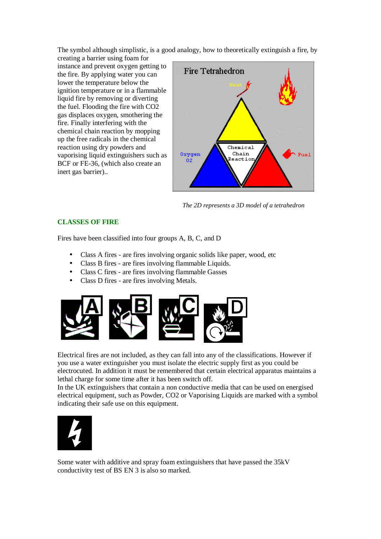The symbol although simplistic, is a good analogy, how to theoretically extinguish a fire, by

creating a barrier using foam for instance and prevent oxygen getting to the fire. By applying water you can lower the temperature below the ignition temperature or in a flammable liquid fire by removing or diverting the fuel. Flooding the fire with CO2 gas displaces oxygen, smothering the fire. Finally interfering with the chemical chain reaction by mopping up the free radicals in the chemical reaction using dry powders and vaporising liquid extinguishers such as BCF or FE-36, (which also create an inert gas barrier)..



*The 2D represents a 3D model of a tetrahedron*

# **CLASSES OF FIRE**

Fires have been classified into four groups A, B, C, and D

- Class A fires are fires involving organic solids like paper, wood, etc
- Class B fires are fires involving flammable Liquids.
- Class C fires are fires involving flammable Gasses
- Class D fires are fires involving Metals.



Electrical fires are not included, as they can fall into any of the classifications. However if you use a water extinguisher you must isolate the electric supply first as you could be electrocuted. In addition it must be remembered that certain electrical apparatus maintains a lethal charge for some time after it has been switch off.

In the UK extinguishers that contain a non conductive media that can be used on energised electrical equipment, such as Powder, CO2 or Vaporising Liquids are marked with a symbol indicating their safe use on this equipment.



Some water with additive and spray foam extinguishers that have passed the 35kV conductivity test of BS EN 3 is also so marked.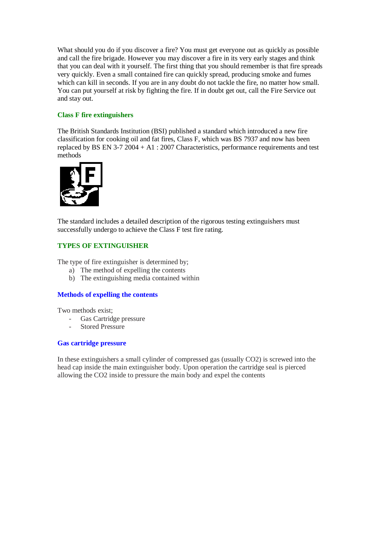What should you do if you discover a fire? You must get everyone out as quickly as possible and call the fire brigade. However you may discover a fire in its very early stages and think that you can deal with it yourself. The first thing that you should remember is that fire spreads very quickly. Even a small contained fire can quickly spread, producing smoke and fumes which can kill in seconds. If you are in any doubt do not tackle the fire, no matter how small. You can put yourself at risk by fighting the fire. If in doubt get out, call the Fire Service out and stay out.

# **Class F fire extinguishers**

The British Standards Institution (BSI) published a standard which introduced a new fire classification for cooking oil and fat fires, Class F, which was BS 7937 and now has been replaced by BS EN 3-7 2004 + A1 : 2007 Characteristics, performance requirements and test methods



The standard includes a detailed description of the rigorous testing extinguishers must successfully undergo to achieve the Class F test fire rating.

# **TYPES OF EXTINGUISHER**

The type of fire extinguisher is determined by;

- a) The method of expelling the contents
- b) The extinguishing media contained within

## **Methods of expelling the contents**

Two methods exist;

- Gas Cartridge pressure
- Stored Pressure

## **Gas cartridge pressure**

In these extinguishers a small cylinder of compressed gas (usually CO2) is screwed into the head cap inside the main extinguisher body. Upon operation the cartridge seal is pierced allowing the CO2 inside to pressure the main body and expel the contents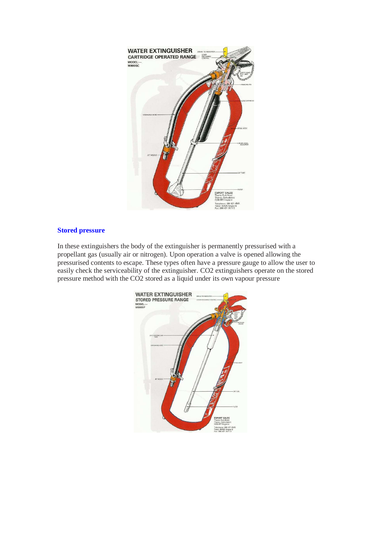

# **Stored pressure**

In these extinguishers the body of the extinguisher is permanently pressurised with a propellant gas (usually air or nitrogen). Upon operation a valve is opened allowing the pressurised contents to escape. These types often have a pressure gauge to allow the user to easily check the serviceability of the extinguisher. CO2 extinguishers operate on the stored pressure method with the CO2 stored as a liquid under its own vapour pressure

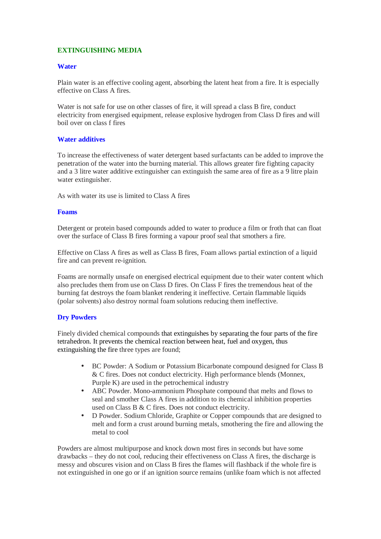# **EXTINGUISHING MEDIA**

# **Water**

Plain water is an effective cooling agent, absorbing the latent heat from a fire. It is especially effective on Class A fires.

Water is not safe for use on other classes of fire, it will spread a class B fire, conduct electricity from energised equipment, release explosive hydrogen from Class D fires and will boil over on class f fires

# **Water additives**

To increase the effectiveness of water detergent based surfactants can be added to improve the penetration of the water into the burning material. This allows greater fire fighting capacity and a 3 litre water additive extinguisher can extinguish the same area of fire as a 9 litre plain water extinguisher.

As with water its use is limited to Class A fires

## **Foams**

Detergent or protein based compounds added to water to produce a film or froth that can float over the surface of Class B fires forming a vapour proof seal that smothers a fire.

Effective on Class A fires as well as Class B fires, Foam allows partial extinction of a liquid fire and can prevent re-ignition.

Foams are normally unsafe on energised electrical equipment due to their water content which also precludes them from use on Class D fires. On Class F fires the tremendous heat of the burning fat destroys the foam blanket rendering it ineffective. Certain flammable liquids (polar solvents) also destroy normal foam solutions reducing them ineffective.

## **Dry Powders**

Finely divided chemical compounds that extinguishes by separating the four parts of the fire tetrahedron. It prevents the chemical reaction between heat, fuel and oxygen, thus extinguishing the fire three types are found;

- BC Powder: A Sodium or Potassium Bicarbonate compound designed for Class B & C fires. Does not conduct electricity. High performance blends (Monnex, Purple K) are used in the petrochemical industry
- ABC Powder. Mono-ammonium Phosphate compound that melts and flows to seal and smother Class A fires in addition to its chemical inhibition properties used on Class B & C fires. Does not conduct electricity.
- D Powder. Sodium Chloride, Graphite or Copper compounds that are designed to melt and form a crust around burning metals, smothering the fire and allowing the metal to cool

Powders are almost multipurpose and knock down most fires in seconds but have some drawbacks – they do not cool, reducing their effectiveness on Class A fires, the discharge is messy and obscures vision and on Class B fires the flames will flashback if the whole fire is not extinguished in one go or if an ignition source remains (unlike foam which is not affected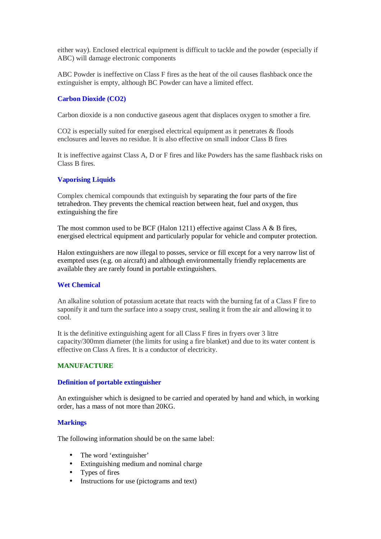either way). Enclosed electrical equipment is difficult to tackle and the powder (especially if ABC) will damage electronic components

ABC Powder is ineffective on Class F fires as the heat of the oil causes flashback once the extinguisher is empty, although BC Powder can have a limited effect.

## **Carbon Dioxide (CO2)**

Carbon dioxide is a non conductive gaseous agent that displaces oxygen to smother a fire.

CO2 is especially suited for energised electrical equipment as it penetrates & floods enclosures and leaves no residue. It is also effective on small indoor Class B fires

It is ineffective against Class A, D or F fires and like Powders has the same flashback risks on Class B fires.

#### **Vaporising Liquids**

Complex chemical compounds that extinguish by separating the four parts of the fire tetrahedron. They prevents the chemical reaction between heat, fuel and oxygen, thus extinguishing the fire

The most common used to be BCF (Halon 1211) effective against Class A & B fires, energised electrical equipment and particularly popular for vehicle and computer protection.

Halon extinguishers are now illegal to posses, service or fill except for a very narrow list of exempted uses (e.g. on aircraft) and although environmentally friendly replacements are available they are rarely found in portable extinguishers.

#### **Wet Chemical**

An alkaline solution of potassium acetate that reacts with the burning fat of a Class F fire to saponify it and turn the surface into a soapy crust, sealing it from the air and allowing it to cool.

It is the definitive extinguishing agent for all Class F fires in fryers over 3 litre capacity/300mm diameter (the limits for using a fire blanket) and due to its water content is effective on Class A fires. It is a conductor of electricity.

#### **MANUFACTURE**

#### **Definition of portable extinguisher**

An extinguisher which is designed to be carried and operated by hand and which, in working order, has a mass of not more than 20KG.

#### **Markings**

The following information should be on the same label:

- The word 'extinguisher'
- Extinguishing medium and nominal charge
- Types of fires
- Instructions for use (pictograms and text)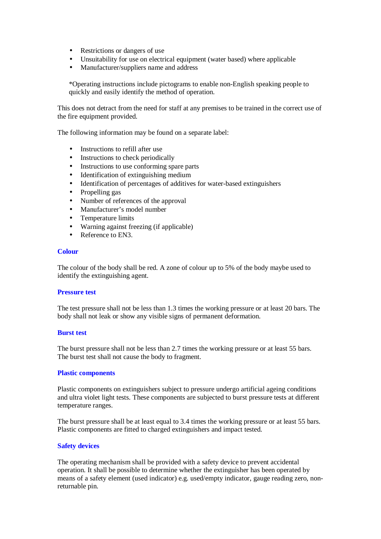- Restrictions or dangers of use
- Unsuitability for use on electrical equipment (water based) where applicable
- Manufacturer/suppliers name and address

\*Operating instructions include pictograms to enable non-English speaking people to quickly and easily identify the method of operation.

This does not detract from the need for staff at any premises to be trained in the correct use of the fire equipment provided.

The following information may be found on a separate label:

- Instructions to refill after use
- Instructions to check periodically
- Instructions to use conforming spare parts
- Identification of extinguishing medium
- Identification of percentages of additives for water-based extinguishers
- Propelling gas
- Number of references of the approval
- Manufacturer's model number
- Temperature limits
- Warning against freezing (if applicable)
- Reference to EN3.

#### **Colour**

The colour of the body shall be red. A zone of colour up to 5% of the body maybe used to identify the extinguishing agent.

#### **Pressure test**

The test pressure shall not be less than 1.3 times the working pressure or at least 20 bars. The body shall not leak or show any visible signs of permanent deformation.

#### **Burst test**

The burst pressure shall not be less than 2.7 times the working pressure or at least 55 bars. The burst test shall not cause the body to fragment.

#### **Plastic components**

Plastic components on extinguishers subject to pressure undergo artificial ageing conditions and ultra violet light tests. These components are subjected to burst pressure tests at different temperature ranges.

The burst pressure shall be at least equal to 3.4 times the working pressure or at least 55 bars. Plastic components are fitted to charged extinguishers and impact tested.

#### **Safety devices**

The operating mechanism shall be provided with a safety device to prevent accidental operation. It shall be possible to determine whether the extinguisher has been operated by means of a safety element (used indicator) e.g. used/empty indicator, gauge reading zero, nonreturnable pin.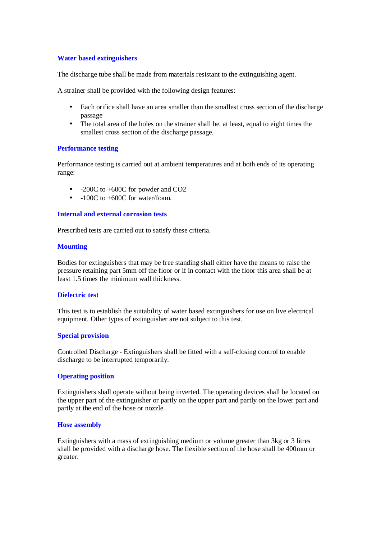# **Water based extinguishers**

The discharge tube shall be made from materials resistant to the extinguishing agent.

A strainer shall be provided with the following design features:

- Each orifice shall have an area smaller than the smallest cross section of the discharge passage
- The total area of the holes on the strainer shall be, at least, equal to eight times the smallest cross section of the discharge passage.

## **Performance testing**

Performance testing is carried out at ambient temperatures and at both ends of its operating range:

- -200C to +600C for powder and CO2
- $\bullet$  -100C to +600C for water/foam.

## **Internal and external corrosion tests**

Prescribed tests are carried out to satisfy these criteria.

#### **Mounting**

Bodies for extinguishers that may be free standing shall either have the means to raise the pressure retaining part 5mm off the floor or if in contact with the floor this area shall be at least 1.5 times the minimum wall thickness.

#### **Dielectric test**

This test is to establish the suitability of water based extinguishers for use on live electrical equipment. Other types of extinguisher are not subject to this test.

## **Special provision**

Controlled Discharge - Extinguishers shall be fitted with a self-closing control to enable discharge to be interrupted temporarily.

# **Operating position**

Extinguishers shall operate without being inverted. The operating devices shall be located on the upper part of the extinguisher or partly on the upper part and partly on the lower part and partly at the end of the hose or nozzle.

# **Hose assembly**

Extinguishers with a mass of extinguishing medium or volume greater than 3kg or 3 litres shall be provided with a discharge hose. The flexible section of the hose shall be 400mm or greater.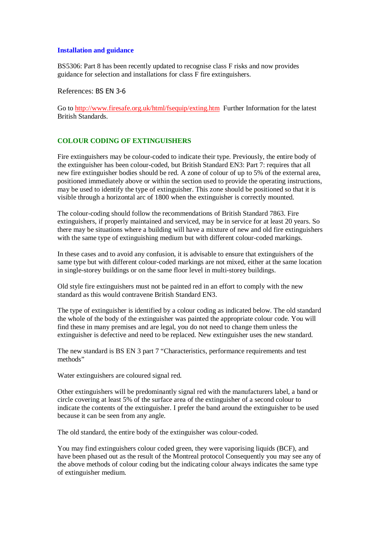#### **Installation and guidance**

BS5306: Part 8 has been recently updated to recognise class F risks and now provides guidance for selection and installations for class F fire extinguishers.

References: BS EN 3-6

Go to http://www.firesafe.org.uk/html/fsequip/exting.htm Further Information for the latest British Standards.

# **COLOUR CODING OF EXTINGUISHERS**

Fire extinguishers may be colour-coded to indicate their type. Previously, the entire body of the extinguisher has been colour-coded, but British Standard EN3: Part 7: requires that all new fire extinguisher bodies should be red. A zone of colour of up to 5% of the external area, positioned immediately above or within the section used to provide the operating instructions, may be used to identify the type of extinguisher. This zone should be positioned so that it is visible through a horizontal arc of 1800 when the extinguisher is correctly mounted.

The colour-coding should follow the recommendations of British Standard 7863. Fire extinguishers, if properly maintained and serviced, may be in service for at least 20 years. So there may be situations where a building will have a mixture of new and old fire extinguishers with the same type of extinguishing medium but with different colour-coded markings.

In these cases and to avoid any confusion, it is advisable to ensure that extinguishers of the same type but with different colour-coded markings are not mixed, either at the same location in single-storey buildings or on the same floor level in multi-storey buildings.

Old style fire extinguishers must not be painted red in an effort to comply with the new standard as this would contravene British Standard EN3.

The type of extinguisher is identified by a colour coding as indicated below. The old standard the whole of the body of the extinguisher was painted the appropriate colour code. You will find these in many premises and are legal, you do not need to change them unless the extinguisher is defective and need to be replaced. New extinguisher uses the new standard.

The new standard is BS EN 3 part 7 "Characteristics, performance requirements and test methods"

Water extinguishers are coloured signal red.

Other extinguishers will be predominantly signal red with the manufacturers label, a band or circle covering at least 5% of the surface area of the extinguisher of a second colour to indicate the contents of the extinguisher. I prefer the band around the extinguisher to be used because it can be seen from any angle.

The old standard, the entire body of the extinguisher was colour-coded.

You may find extinguishers colour coded green, they were vaporising liquids (BCF), and have been phased out as the result of the Montreal protocol Consequently you may see any of the above methods of colour coding but the indicating colour always indicates the same type of extinguisher medium.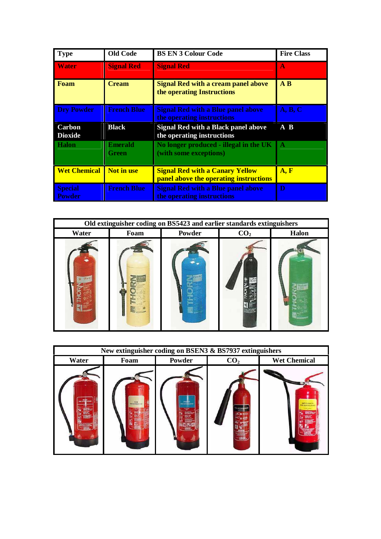| <b>Type</b>                     | <b>Old Code</b>                | <b>BS EN 3 Colour Code</b>                                                       | <b>Fire Class</b> |
|---------------------------------|--------------------------------|----------------------------------------------------------------------------------|-------------------|
| <b>Water</b>                    | <b>Signal Red</b>              | <b>Signal Red</b>                                                                | $\mathbf{A}$      |
| <b>Foam</b>                     | <b>Cream</b>                   | <b>Signal Red with a cream panel above</b><br>the operating Instructions         | $A$ $B$           |
| <b>Dry Powder</b>               | <b>French Blue</b>             | <b>Signal Red with a Blue panel above</b><br>the operating instructions          | A, B, C           |
| Carbon<br><b>Dioxide</b>        | <b>Black</b>                   | <b>Signal Red with a Black panel above</b><br>the operating instructions         | A B               |
| <b>Halon</b>                    | <b>Emerald</b><br><b>Green</b> | No longer produced - illegal in the UK<br>(with some exceptions)                 | A                 |
| <b>Wet Chemical</b>             | Not in use                     | <b>Signal Red with a Canary Yellow</b><br>panel above the operating instructions | A, F              |
| <b>Special</b><br><b>Powder</b> | <b>French Blue</b>             | <b>Signal Red with a Blue panel above</b><br>the operating instructions          | D                 |



| New extinguisher coding on BSEN3 & BS7937 extinguishers |               |                           |                 |                                          |  |  |
|---------------------------------------------------------|---------------|---------------------------|-----------------|------------------------------------------|--|--|
| Water                                                   | Foam          | Powder                    | CO <sub>2</sub> | <b>Wet Chemical</b>                      |  |  |
| WAISP<br><b>HE KOTH</b>                                 | TRE DOMESTICS | <b>Fan committee</b><br>₩ |                 | <b>RET DIEMO</b><br><b>RREEXTIVELYDE</b> |  |  |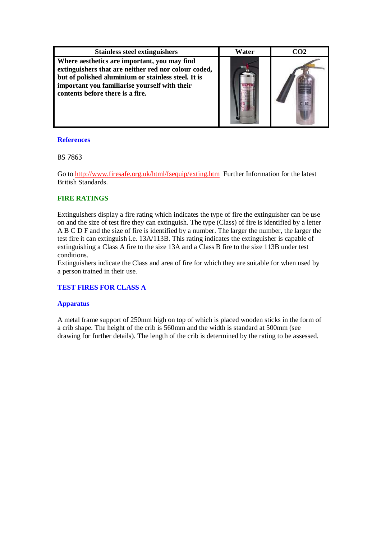| <b>Stainless steel extinguishers</b>                                                                                                                                                                                                             | Water | CO <sub>2</sub> |
|--------------------------------------------------------------------------------------------------------------------------------------------------------------------------------------------------------------------------------------------------|-------|-----------------|
| Where aesthetics are important, you may find<br>extinguishers that are neither red nor colour coded,<br>but of polished aluminium or stainless steel. It is<br>important you familiarise yourself with their<br>contents before there is a fire. |       |                 |

# **References**

# BS 7863

Go to http://www.firesafe.org.uk/html/fsequip/exting.htm Further Information for the latest British Standards.

# **FIRE RATINGS**

Extinguishers display a fire rating which indicates the type of fire the extinguisher can be use on and the size of test fire they can extinguish. The type (Class) of fire is identified by a letter A B C D F and the size of fire is identified by a number. The larger the number, the larger the test fire it can extinguish i.e. 13A/113B. This rating indicates the extinguisher is capable of extinguishing a Class A fire to the size 13A and a Class B fire to the size 113B under test conditions.

Extinguishers indicate the Class and area of fire for which they are suitable for when used by a person trained in their use.

# **TEST FIRES FOR CLASS A**

## **Apparatus**

A metal frame support of 250mm high on top of which is placed wooden sticks in the form of a crib shape. The height of the crib is 560mm and the width is standard at 500mm (see drawing for further details). The length of the crib is determined by the rating to be assessed.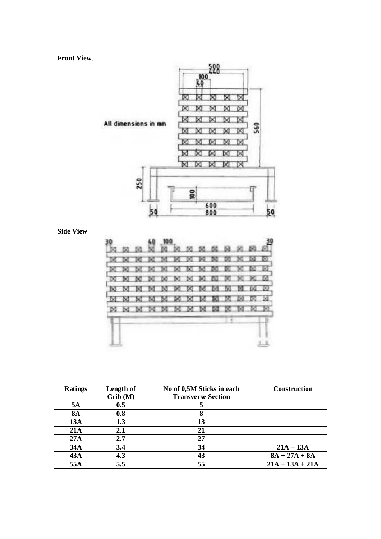**Front View**.



**Side View** 

|       |      |      |                        |        |        |      | 50 50 50 50 50 |   |       |              | <b>DO</b> |
|-------|------|------|------------------------|--------|--------|------|----------------|---|-------|--------------|-----------|
|       |      |      |                        |        | æ,     | ×    | ю              | ÷ |       | ъ            | æ         |
|       |      |      |                        | $-100$ |        | - 24 | - 200          |   |       |              | ಾರ        |
| DC 50 |      |      | <b>N</b> N M M M M N M |        |        |      |                |   | N K M |              |           |
|       | - 50 | - 64 | $-180$                 | $-90$  | $\sim$ | ಾ    | м              | m | м     |              | - 80      |
|       |      |      |                        | $-90$  | - 60   | - 64 | 10             |   |       |              | $-50$     |
| DO NO |      |      | <b>MM</b>              |        | $M$ M  |      | $\blacksquare$ |   | $1$   | $\mathbb{R}$ |           |
|       |      |      |                        |        |        |      |                |   |       |              |           |
|       |      |      |                        |        |        |      |                |   |       |              |           |
|       |      |      |                        |        |        |      |                |   |       |              |           |

| <b>Ratings</b> | Length of | No of 0,5M Sticks in each | <b>Construction</b> |
|----------------|-----------|---------------------------|---------------------|
|                | Crib(M)   | <b>Transverse Section</b> |                     |
| 5A             | 0.5       |                           |                     |
| <b>8A</b>      | 0.8       |                           |                     |
| <b>13A</b>     | 1.3       | 13                        |                     |
| 21A            | 2.1       | 21                        |                     |
| 27A            | 2.7       | 27                        |                     |
| 34A            | 3.4       | 34                        | $21A + 13A$         |
| 43A            | 4.3       | 43                        | $8A + 27A + 8A$     |
| 55A            | 5.5       | 55                        | $21A + 13A + 21A$   |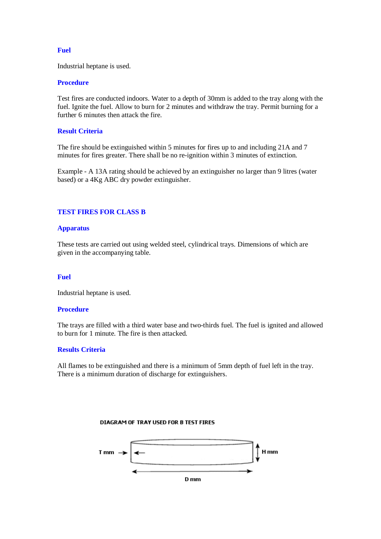## **Fuel**

Industrial heptane is used.

#### **Procedure**

Test fires are conducted indoors. Water to a depth of 30mm is added to the tray along with the fuel. Ignite the fuel. Allow to burn for 2 minutes and withdraw the tray. Permit burning for a further 6 minutes then attack the fire.

### **Result Criteria**

The fire should be extinguished within 5 minutes for fires up to and including 21A and 7 minutes for fires greater. There shall be no re-ignition within 3 minutes of extinction.

Example - A 13A rating should be achieved by an extinguisher no larger than 9 litres (water based) or a 4Kg ABC dry powder extinguisher.

#### **TEST FIRES FOR CLASS B**

#### **Apparatus**

These tests are carried out using welded steel, cylindrical trays. Dimensions of which are given in the accompanying table.

#### **Fuel**

Industrial heptane is used.

#### **Procedure**

The trays are filled with a third water base and two-thirds fuel. The fuel is ignited and allowed to burn for 1 minute. The fire is then attacked.

#### **Results Criteria**

All flames to be extinguished and there is a minimum of 5mm depth of fuel left in the tray. There is a minimum duration of discharge for extinguishers.



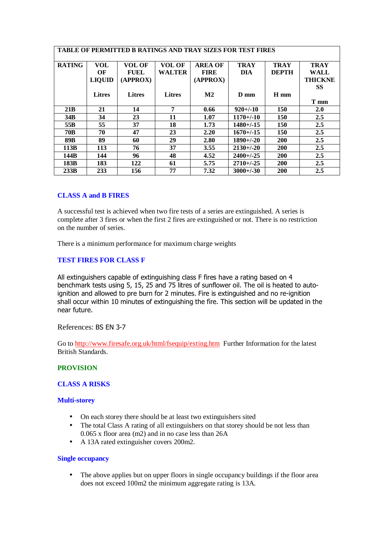|                 | <b>TABLE OF PERMITTED B RATINGS AND TRAY SIZES FOR TEST FIRES</b> |                                          |                         |                                           |                           |                             |                                              |
|-----------------|-------------------------------------------------------------------|------------------------------------------|-------------------------|-------------------------------------------|---------------------------|-----------------------------|----------------------------------------------|
| <b>RATING</b>   | <b>VOL</b><br>OF<br><b>LIQUID</b>                                 | <b>VOL OF</b><br><b>FUEL</b><br>(APPROX) | VOL OF<br><b>WALTER</b> | <b>AREA OF</b><br><b>FIRE</b><br>(APPROX) | <b>TRAY</b><br><b>DIA</b> | <b>TRAY</b><br><b>DEPTH</b> | <b>TRAY</b><br><b>WALL</b><br><b>THICKNE</b> |
|                 | <b>Litres</b>                                                     | <b>Litres</b>                            | <b>Litres</b>           | $\mathbf{M2}$                             | $D$ mm                    | H mm                        | SS<br>T mm                                   |
| 21B             | 21                                                                | 14                                       | 7                       | 0.66                                      | $920 + (-10)$             | 150                         | 2.0                                          |
| 34B             | 34                                                                | 23                                       | 11                      | 1.07                                      | $1170 + (-10)$            | 150                         | 2.5                                          |
| 55 <sub>B</sub> | 55                                                                | 37                                       | 18                      | 1.73                                      | $1480 + (-15)$            | 150                         | 2.5                                          |
| <b>70B</b>      | 70                                                                | 47                                       | 23                      | 2.20                                      | $1670 + (-15)$            | 150                         | 2.5                                          |
| 89B             | 89                                                                | 60                                       | 29                      | 2.80                                      | $1890 + (-20)$            | <b>200</b>                  | 2.5                                          |
| 113B            | 113                                                               | 76                                       | 37                      | 3.55                                      | $2130 + (-20)$            | <b>200</b>                  | 2.5                                          |
| 144B            | 144                                                               | 96                                       | 48                      | 4.52                                      | $2400+/-25$               | <b>200</b>                  | 2.5                                          |
| 183B            | 183                                                               | 122                                      | 61                      | 5.75                                      | $2710 + 1 - 25$           | <b>200</b>                  | 2.5                                          |
| 233B            | 233                                                               | 156                                      | 77                      | 7.32                                      | $3000+/-30$               | 200                         | 2.5                                          |

# **CLASS A and B FIRES**

A successful test is achieved when two fire tests of a series are extinguished. A series is complete after 3 fires or when the first 2 fires are extinguished or not. There is no restriction on the number of series.

There is a minimum performance for maximum charge weights

# **TEST FIRES FOR CLASS F**

All extinguishers capable of extinguishing class F fires have a rating based on 4 benchmark tests using 5, 15, 25 and 75 litres of sunflower oil. The oil is heated to autoignition and allowed to pre burn for 2 minutes. Fire is extinguished and no re-ignition shall occur within 10 minutes of extinguishing the fire. This section will be updated in the near future.

References: BS EN 3-7

Go to http://www.firesafe.org.uk/html/fsequip/exting.htm Further Information for the latest British Standards.

# **PROVISION**

## **CLASS A RISKS**

#### **Multi-storey**

- On each storey there should be at least two extinguishers sited
- The total Class A rating of all extinguishers on that storey should be not less than 0.065 x floor area (m2) and in no case less than 26A
- A 13A rated extinguisher covers 200m2.

## **Single occupancy**

• The above applies but on upper floors in single occupancy buildings if the floor area does not exceed 100m2 the minimum aggregate rating is 13A.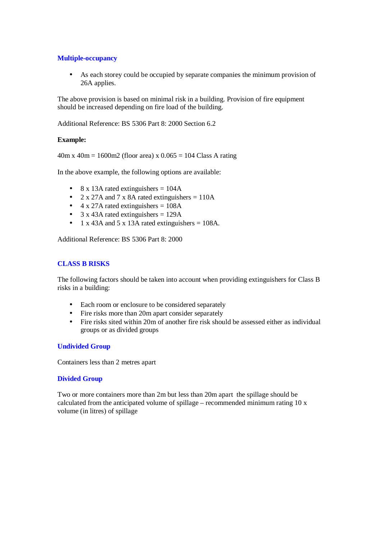# **Multiple-occupancy**

• As each storey could be occupied by separate companies the minimum provision of 26A applies.

The above provision is based on minimal risk in a building. Provision of fire equipment should be increased depending on fire load of the building.

Additional Reference: BS 5306 Part 8: 2000 Section 6.2

# **Example:**

 $40m \times 40m = 1600m2$  (floor area) x  $0.065 = 104$  Class A rating

In the above example, the following options are available:

- 8 x 13A rated extinguishers  $= 104A$
- 2 x 27A and 7 x 8A rated extinguishers  $= 110A$
- $4 \times 27$ A rated extinguishers = 108A
- 3 x 43A rated extinguishers =  $129A$
- 1 x 43A and 5 x 13A rated extinguishers = 108A.

Additional Reference: BS 5306 Part 8: 2000

# **CLASS B RISKS**

The following factors should be taken into account when providing extinguishers for Class B risks in a building:

- Each room or enclosure to be considered separately
- Fire risks more than 20m apart consider separately
- Fire risks sited within 20m of another fire risk should be assessed either as individual groups or as divided groups

## **Undivided Group**

Containers less than 2 metres apart

## **Divided Group**

Two or more containers more than 2m but less than 20m apart the spillage should be calculated from the anticipated volume of spillage – recommended minimum rating  $10 \text{ x}$ volume (in litres) of spillage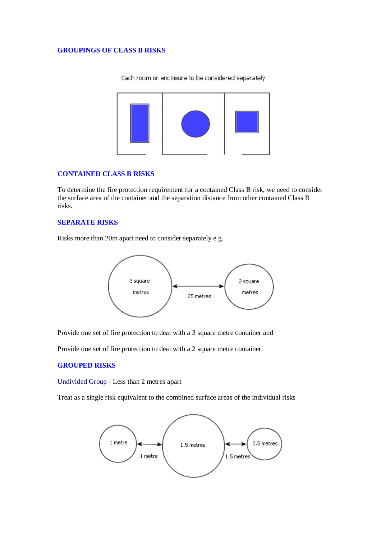#### **GROUPINGS OF CLASS B RISKS**

Each room or enclosure to be considered separately



# **CONTAINED CLASS B RISKS**

To determine the fire protection requirement for a contained Class B risk, we need to consider the surface area of the container and the separation distance from other contained Class B risks.

#### **SEPARATE RISKS**

Risks more than 20m apart need to consider separately e.g.



Provide one set of fire protection to deal with a 3 square metre container and

Provide one set of fire protection to deal with a 2 square metre container.

### **GROUPED RISKS**

Undivided Group - Less than 2 metres apart

Treat as a single risk equivalent to the combined surface areas of the individual risks

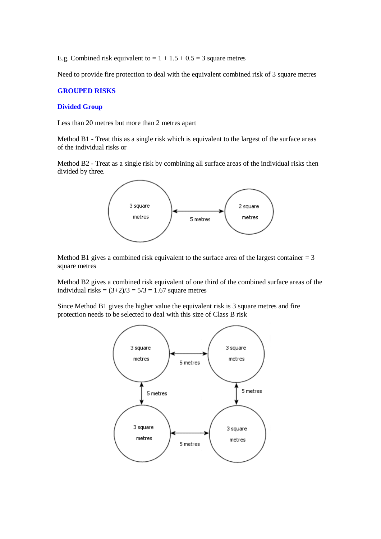E.g. Combined risk equivalent to  $= 1 + 1.5 + 0.5 = 3$  square metres

Need to provide fire protection to deal with the equivalent combined risk of 3 square metres

# **GROUPED RISKS**

#### **Divided Group**

Less than 20 metres but more than 2 metres apart

Method B1 - Treat this as a single risk which is equivalent to the largest of the surface areas of the individual risks or

Method B2 - Treat as a single risk by combining all surface areas of the individual risks then divided by three.



Method B1 gives a combined risk equivalent to the surface area of the largest container  $= 3$ square metres

Method B2 gives a combined risk equivalent of one third of the combined surface areas of the individual risks =  $(3+2)/3 = 5/3 = 1.67$  square metres

Since Method B1 gives the higher value the equivalent risk is 3 square metres and fire protection needs to be selected to deal with this size of Class B risk

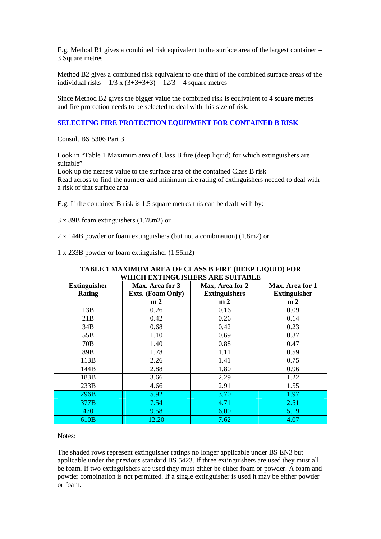E.g. Method B1 gives a combined risk equivalent to the surface area of the largest container = 3 Square metres

Method B2 gives a combined risk equivalent to one third of the combined surface areas of the individual risks =  $1/3$  x  $(3+3+3+3) = 12/3 = 4$  square metres

Since Method B2 gives the bigger value the combined risk is equivalent to 4 square metres and fire protection needs to be selected to deal with this size of risk.

### **SELECTING FIRE PROTECTION EQUIPMENT FOR CONTAINED B RISK**

Consult BS 5306 Part 3

Look in "Table 1 Maximum area of Class B fire (deep liquid) for which extinguishers are suitable"

Look up the nearest value to the surface area of the contained Class B risk Read across to find the number and minimum fire rating of extinguishers needed to deal with a risk of that surface area

E.g. If the contained B risk is 1.5 square metres this can be dealt with by:

3 x 89B foam extinguishers (1.78m2) or

2 x 144B powder or foam extinguishers (but not a combination) (1.8m2) or

1 x 233B powder or foam extinguisher (1.55m2)

| TABLE 1 MAXIMUM AREA OF CLASS B FIRE (DEEP LIQUID) FOR<br>WHICH EXTINGUISHERS ARE SUITABLE |                          |                      |                     |  |  |  |  |  |
|--------------------------------------------------------------------------------------------|--------------------------|----------------------|---------------------|--|--|--|--|--|
| <b>Extinguisher</b><br>Max. Area for 3<br>Max, Area for 2<br>Max. Area for 1               |                          |                      |                     |  |  |  |  |  |
| <b>Rating</b>                                                                              | <b>Exts.</b> (Foam Only) | <b>Extinguishers</b> | <b>Extinguisher</b> |  |  |  |  |  |
|                                                                                            | m <sub>2</sub>           | m <sub>2</sub>       | m <sub>2</sub>      |  |  |  |  |  |
| 13B                                                                                        | 0.26                     | 0.16                 | 0.09                |  |  |  |  |  |
| 21B                                                                                        | 0.42                     | 0.26                 | 0.14                |  |  |  |  |  |
| 34B                                                                                        | 0.68                     | 0.42                 | 0.23                |  |  |  |  |  |
| 55B                                                                                        | 1.10                     | 0.69                 | 0.37                |  |  |  |  |  |
| 70 <sub>B</sub>                                                                            | 1.40                     | 0.88                 | 0.47                |  |  |  |  |  |
| 89B                                                                                        | 1.78                     | 1.11                 | 0.59                |  |  |  |  |  |
| 113B                                                                                       | 2.26                     | 1.41                 | 0.75                |  |  |  |  |  |
| 144B                                                                                       | 2.88                     | 1.80                 | 0.96                |  |  |  |  |  |
| 183B                                                                                       | 3.66                     | 2.29                 | 1.22                |  |  |  |  |  |
| 233B                                                                                       | 4.66                     | 2.91                 | 1.55                |  |  |  |  |  |
| 296B                                                                                       | 5.92                     | 3.70                 | 1.97                |  |  |  |  |  |
| 377B                                                                                       | 7.54                     | 4.71                 | 2.51                |  |  |  |  |  |
| 470                                                                                        | 9.58                     | 6.00                 | 5.19                |  |  |  |  |  |
| 610 <sub>B</sub>                                                                           | 12.20                    | 7.62                 | 4.07                |  |  |  |  |  |

Notes:

The shaded rows represent extinguisher ratings no longer applicable under BS EN3 but applicable under the previous standard BS 5423. If three extinguishers are used they must all be foam. If two extinguishers are used they must either be either foam or powder. A foam and powder combination is not permitted. If a single extinguisher is used it may be either powder or foam.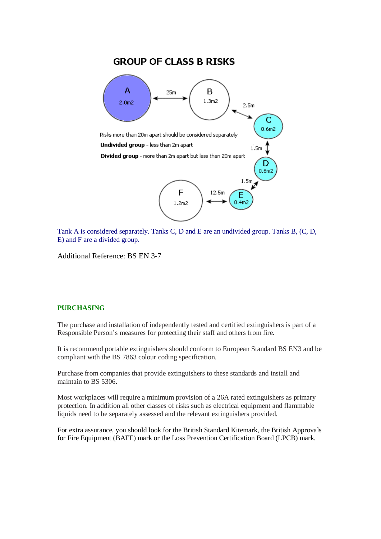# **GROUP OF CLASS B RISKS**



Tank A is considered separately. Tanks C, D and E are an undivided group. Tanks B, (C, D, E) and F are a divided group.

Additional Reference: BS EN 3-7

## **PURCHASING**

The purchase and installation of independently tested and certified extinguishers is part of a Responsible Person's measures for protecting their staff and others from fire.

It is recommend portable extinguishers should conform to European Standard BS EN3 and be compliant with the BS 7863 colour coding specification.

Purchase from companies that provide extinguishers to these standards and install and maintain to BS 5306.

Most workplaces will require a minimum provision of a 26A rated extinguishers as primary protection. In addition all other classes of risks such as electrical equipment and flammable liquids need to be separately assessed and the relevant extinguishers provided.

For extra assurance, you should look for the British Standard Kitemark, the British Approvals for Fire Equipment (BAFE) mark or the Loss Prevention Certification Board (LPCB) mark.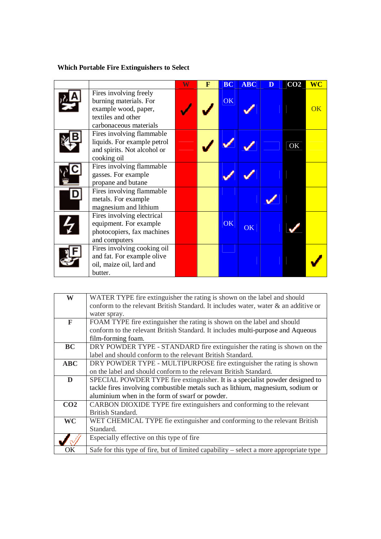# **Which Portable Fire Extinguishers to Select**

|                                                                                                                          | $\overline{\textbf{W}}$ | $\mathbf{F}$ | <b>BC</b> | <b>ABC</b> | D | CO <sub>2</sub> | <b>WC</b> |
|--------------------------------------------------------------------------------------------------------------------------|-------------------------|--------------|-----------|------------|---|-----------------|-----------|
| Fires involving freely<br>burning materials. For<br>example wood, paper,<br>textiles and other<br>carbonaceous materials |                         |              | OK        |            |   |                 | OK        |
| Fires involving flammable<br>liquids. For example petrol<br>and spirits. Not alcohol or<br>cooking oil                   |                         |              |           |            |   | OK              |           |
| Fires involving flammable<br>gasses. For example<br>propane and butane                                                   |                         |              |           |            |   |                 |           |
| Fires involving flammable<br>metals. For example<br>magnesium and lithium                                                |                         |              |           |            |   |                 |           |
| Fires involving electrical<br>equipment. For example<br>photocopiers, fax machines<br>and computers                      |                         |              | <b>OK</b> | OK         |   |                 |           |
| Fires involving cooking oil<br>and fat. For example olive<br>oil, maize oil, lard and<br>butter.                         |                         |              |           |            |   |                 |           |

| W               | WATER TYPE fire extinguisher the rating is shown on the label and should               |
|-----------------|----------------------------------------------------------------------------------------|
|                 | conform to the relevant British Standard. It includes water, water & an additive or    |
|                 | water spray.                                                                           |
| F               | FOAM TYPE fire extinguisher the rating is shown on the label and should                |
|                 | conform to the relevant British Standard. It includes multi-purpose and Aqueous        |
|                 | film-forming foam.                                                                     |
| <b>BC</b>       | DRY POWDER TYPE - STANDARD fire extinguisher the rating is shown on the                |
|                 | label and should conform to the relevant British Standard.                             |
| <b>ABC</b>      | DRY POWDER TYPE - MULTIPURPOSE fire extinguisher the rating is shown                   |
|                 | on the label and should conform to the relevant British Standard.                      |
| D               | SPECIAL POWDER TYPE fire extinguisher. It is a specialist powder designed to           |
|                 | tackle fires involving combustible metals such as lithium, magnesium, sodium or        |
|                 | aluminium when in the form of swarf or powder.                                         |
| CO <sub>2</sub> | CARBON DIOXIDE TYPE fire extinguishers and conforming to the relevant                  |
|                 | British Standard.                                                                      |
| <b>WC</b>       | WET CHEMICAL TYPE fie extinguisher and conforming to the relevant British              |
|                 | Standard.                                                                              |
|                 | Especially effective on this type of fire                                              |
| ОK              | Safe for this type of fire, but of limited capability – select a more appropriate type |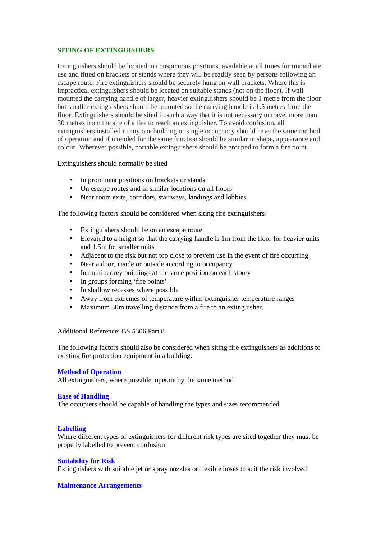# **SITING OF EXTINGUISHERS**

Extinguishers should be located in conspicuous positions, available at all times for immediate use and fitted on brackets or stands where they will be readily seen by persons following an escape route. Fire extinguishers should be securely hung on wall brackets. Where this is impractical extinguishers should be located on suitable stands (not on the floor). If wall mounted the carrying handle of larger, heavier extinguishers should be 1 metre from the floor but smaller extinguishers should be mounted so the carrying handle is 1.5 metres from the floor. Extinguishers should be sited in such a way that it is not necessary to travel more than 30 metres from the site of a fire to reach an extinguisher. To avoid confusion, all extinguishers installed in any one building or single occupancy should have the same method of operation and if intended for the same function should be similar in shape, appearance and colour. Wherever possible, portable extinguishers should be grouped to form a fire point.

Extinguishers should normally be sited

- In prominent positions on brackets or stands
- On escape routes and in similar locations on all floors
- Near room exits, corridors, stairways, landings and lobbies.

The following factors should be considered when siting fire extinguishers:

- Extinguishers should be on an escape route
- Elevated to a height so that the carrying handle is 1m from the floor for heavier units and 1.5m for smaller units
- Adjacent to the risk but not too close to prevent use in the event of fire occurring
- Near a door, inside or outside according to occupancy
- In multi-storey buildings at the same position on each storey
- In groups forming 'fire points'
- In shallow recesses where possible
- Away from extremes of temperature within extinguisher temperature ranges
- Maximum 30m travelling distance from a fire to an extinguisher.

Additional Reference: BS 5306 Part 8

The following factors should also be considered when siting fire extinguishers as additions to existing fire protection equipment in a building:

#### **Method of Operation**

All extinguishers, where possible, operate by the same method

#### **Ease of Handling**

The occupiers should be capable of handling the types and sizes recommended

#### **Labelling**

Where different types of extinguishers for different risk types are sited together they must be properly labelled to prevent confusion

#### **Suitability for Risk**

Extinguishers with suitable jet or spray nozzles or flexible hoses to suit the risk involved

#### **Maintenance Arrangements**